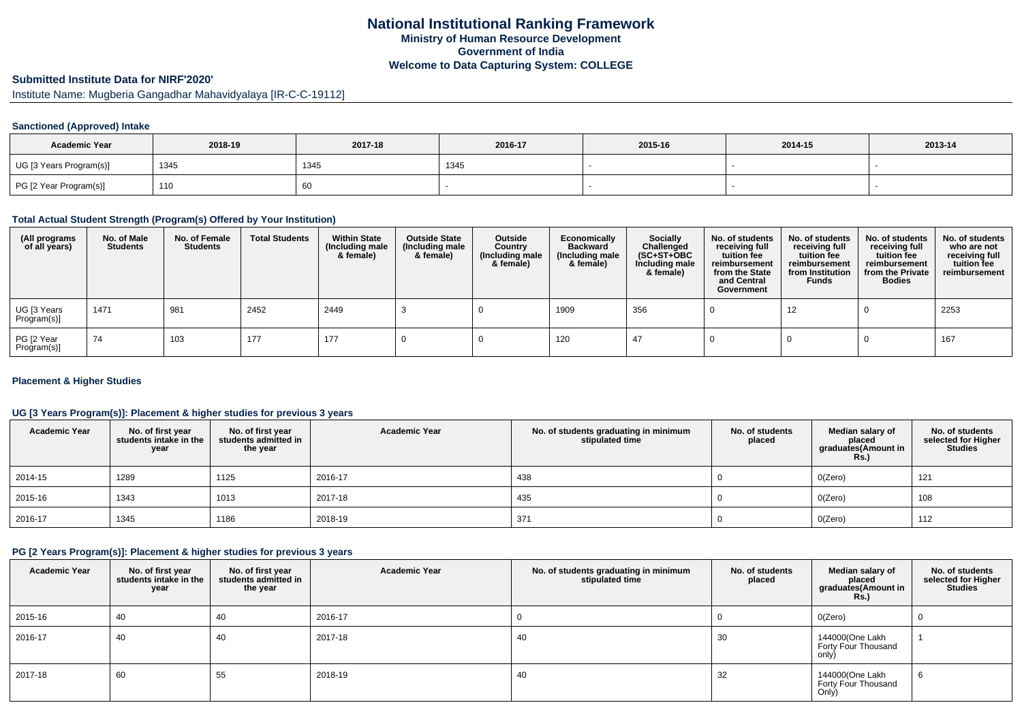# **Submitted Institute Data for NIRF'2020'**

Institute Name: Mugberia Gangadhar Mahavidyalaya [IR-C-C-19112]

### **Sanctioned (Approved) Intake**

| <b>Academic Year</b>    | 2018-19 | 2017-18 | 2016-17     | 2015-16 | 2014-15 | 2013-14 |
|-------------------------|---------|---------|-------------|---------|---------|---------|
| UG [3 Years Program(s)] | 1345    | 1345    | <b>1345</b> |         |         |         |
| PG [2 Year Program(s)]  | 110     | 60      |             |         |         |         |

#### **Total Actual Student Strength (Program(s) Offered by Your Institution)**

| (All programs<br>of all years) | No. of Male<br><b>Students</b> | No. of Female<br><b>Students</b> | <b>Total Students</b> | <b>Within State</b><br>(Including male<br>& female) | <b>Outside State</b><br>(Including male<br>& female) | Outside<br>Country<br>(Including male<br>& female) | Economically<br><b>Backward</b><br>(Including male<br>& female) | <b>Socially</b><br>Challenged<br>$(SC+ST+OBC)$<br>Including male<br>& female) | No. of students<br>receiving full<br>tuition fee<br>reimbursement<br>from the State<br>and Central<br>Government | No. of students<br>receiving full<br>tuition fee<br>reimbursement<br>from Institution<br><b>Funds</b> | No. of students<br>receiving full<br>tuition fee<br>reimbursement<br>from the Private<br><b>Bodies</b> | No. of students<br>who are not<br>receiving full<br>tuition fee<br>reimbursement |
|--------------------------------|--------------------------------|----------------------------------|-----------------------|-----------------------------------------------------|------------------------------------------------------|----------------------------------------------------|-----------------------------------------------------------------|-------------------------------------------------------------------------------|------------------------------------------------------------------------------------------------------------------|-------------------------------------------------------------------------------------------------------|--------------------------------------------------------------------------------------------------------|----------------------------------------------------------------------------------|
| UG [3 Years<br>Program(s)]     | 1471                           | 981                              | 2452                  | 2449                                                |                                                      |                                                    | 1909                                                            | 356                                                                           |                                                                                                                  | 12                                                                                                    |                                                                                                        | 2253                                                                             |
| PG [2 Year<br>Program(s)]      | 74                             | 103                              | 177                   | 177                                                 |                                                      |                                                    | 120                                                             | 47                                                                            |                                                                                                                  |                                                                                                       |                                                                                                        | 167                                                                              |

#### **Placement & Higher Studies**

### **UG [3 Years Program(s)]: Placement & higher studies for previous 3 years**

| <b>Academic Year</b> | No. of first year<br>students intake in the<br>year | No. of first year<br>students admitted in<br>the year | <b>Academic Year</b> | No. of students graduating in minimum<br>stipulated time | No. of students<br>placed | Median salary of<br>placed<br>graduates(Amount in<br><b>Rs.)</b> | No. of students<br>selected for Higher<br><b>Studies</b> |
|----------------------|-----------------------------------------------------|-------------------------------------------------------|----------------------|----------------------------------------------------------|---------------------------|------------------------------------------------------------------|----------------------------------------------------------|
| 2014-15              | 1289                                                | 1125                                                  | 2016-17              | 438                                                      |                           | O(Zero)                                                          | 121                                                      |
| 2015-16              | 1343                                                | 1013                                                  | 2017-18              | 435                                                      |                           | O(Zero)                                                          | 108                                                      |
| 2016-17              | 1345                                                | 1186                                                  | 2018-19              | 371                                                      |                           | O(Zero)                                                          | 112                                                      |

## **PG [2 Years Program(s)]: Placement & higher studies for previous 3 years**

| <b>Academic Year</b> | No. of first year<br>students intake in the<br>year | No. of first year<br>students admitted in<br>the year | <b>Academic Year</b> | No. of students graduating in minimum<br>stipulated time | No. of students<br>placed | Median salary of<br>placed<br>graduates(Amount in<br><b>Rs.)</b> | No. of students<br>selected for Higher<br><b>Studies</b> |
|----------------------|-----------------------------------------------------|-------------------------------------------------------|----------------------|----------------------------------------------------------|---------------------------|------------------------------------------------------------------|----------------------------------------------------------|
| 2015-16              | 40                                                  | 40                                                    | 2016-17              |                                                          |                           | O(Zero)                                                          |                                                          |
| 2016-17              | 40                                                  | 40                                                    | 2017-18              | 40                                                       | 30                        | 144000(One Lakh<br>Forty Four Thousand<br>only)                  |                                                          |
| 2017-18              | 60                                                  | 55                                                    | 2018-19              | 40                                                       | 32                        | 144000(One Lakh<br>Forty Four Thousand<br>Only)                  |                                                          |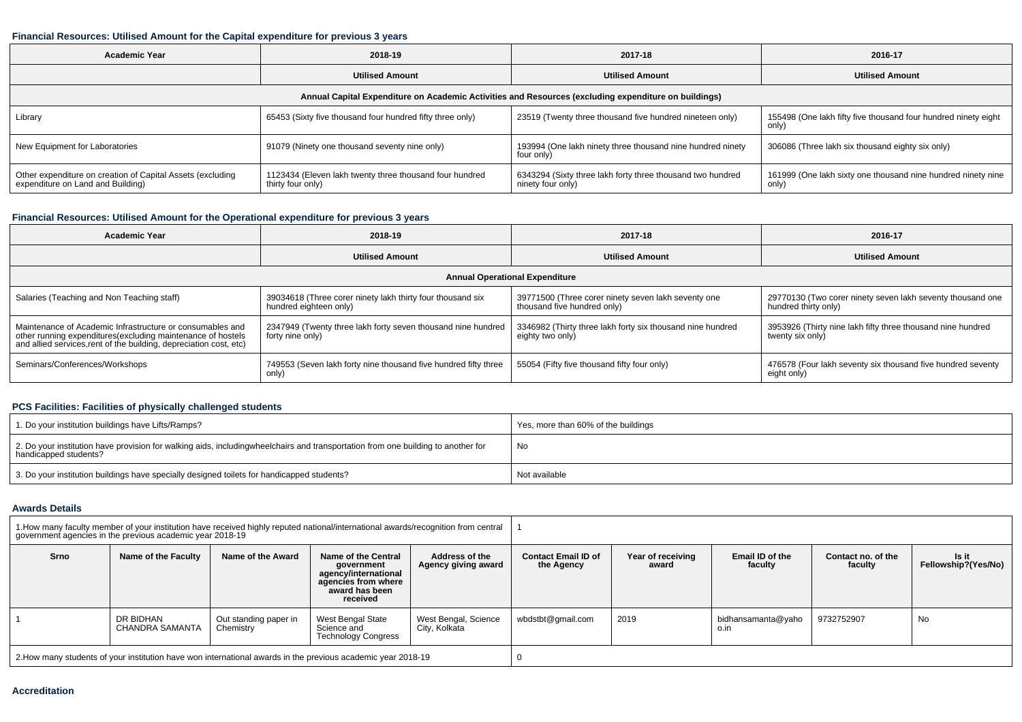#### **Financial Resources: Utilised Amount for the Capital expenditure for previous 3 years**

| <b>Academic Year</b>                                                                                 | 2018-19                                                                      | 2017-18                                                                         | 2016-17                                                                 |  |  |  |  |  |  |  |
|------------------------------------------------------------------------------------------------------|------------------------------------------------------------------------------|---------------------------------------------------------------------------------|-------------------------------------------------------------------------|--|--|--|--|--|--|--|
|                                                                                                      | <b>Utilised Amount</b>                                                       | <b>Utilised Amount</b>                                                          | <b>Utilised Amount</b>                                                  |  |  |  |  |  |  |  |
| Annual Capital Expenditure on Academic Activities and Resources (excluding expenditure on buildings) |                                                                              |                                                                                 |                                                                         |  |  |  |  |  |  |  |
| Library                                                                                              | 65453 (Sixty five thousand four hundred fifty three only)                    | 23519 (Twenty three thousand five hundred nineteen only)                        | 155498 (One lakh fifty five thousand four hundred ninety eight<br>only) |  |  |  |  |  |  |  |
| New Equipment for Laboratories                                                                       | 91079 (Ninety one thousand seventy nine only)                                | 193994 (One lakh ninety three thousand nine hundred ninety<br>four only)        | 306086 (Three lakh six thousand eighty six only)                        |  |  |  |  |  |  |  |
| Other expenditure on creation of Capital Assets (excluding<br>expenditure on Land and Building)      | 1123434 (Eleven lakh twenty three thousand four hundred<br>thirty four only) | 6343294 (Sixty three lakh forty three thousand two hundred<br>ninety four only) | 161999 (One lakh sixty one thousand nine hundred ninety nine<br>only)   |  |  |  |  |  |  |  |

### **Financial Resources: Utilised Amount for the Operational expenditure for previous 3 years**

| Academic Year                                                                                                                                                                                   | 2018-19                                                                              | 2017-18                                                                            | 2016-17                                                                            |  |  |  |  |  |  |  |
|-------------------------------------------------------------------------------------------------------------------------------------------------------------------------------------------------|--------------------------------------------------------------------------------------|------------------------------------------------------------------------------------|------------------------------------------------------------------------------------|--|--|--|--|--|--|--|
|                                                                                                                                                                                                 | <b>Utilised Amount</b>                                                               | <b>Utilised Amount</b>                                                             | <b>Utilised Amount</b>                                                             |  |  |  |  |  |  |  |
| <b>Annual Operational Expenditure</b>                                                                                                                                                           |                                                                                      |                                                                                    |                                                                                    |  |  |  |  |  |  |  |
| Salaries (Teaching and Non Teaching staff)                                                                                                                                                      | 39034618 (Three corer ninety lakh thirty four thousand six<br>hundred eighteen only) | 39771500 (Three corer ninety seven lakh seventy one<br>thousand five hundred only) | 29770130 (Two corer ninety seven lakh seventy thousand one<br>hundred thirty only) |  |  |  |  |  |  |  |
| Maintenance of Academic Infrastructure or consumables and<br>other running expenditures (excluding maintenance of hostels<br>and allied services, rent of the building, depreciation cost, etc) | 2347949 (Twenty three lakh forty seven thousand nine hundred<br>forty nine only)     | 3346982 (Thirty three lakh forty six thousand nine hundred<br>eighty two only)     | 3953926 (Thirty nine lakh fifty three thousand nine hundred<br>twenty six only)    |  |  |  |  |  |  |  |
| Seminars/Conferences/Workshops                                                                                                                                                                  | 749553 (Seven lakh forty nine thousand five hundred fifty three<br>only)             | 55054 (Fifty five thousand fifty four only)                                        | 476578 (Four lakh seventy six thousand five hundred seventy<br>eight only)         |  |  |  |  |  |  |  |

### **PCS Facilities: Facilities of physically challenged students**

| 1. Do your institution buildings have Lifts/Ramps?                                                                                                        | Yes, more than 60% of the buildings |
|-----------------------------------------------------------------------------------------------------------------------------------------------------------|-------------------------------------|
| 2. Do your institution have provision for walking aids, includingwheelchairs and transportation from one building to another for<br>handicapped students? | No                                  |
| 3. Do your institution buildings have specially designed toilets for handicapped students?                                                                | Not available                       |

#### **Awards Details**

| 1. How many faculty member of your institution have received highly reputed national/international awards/recognition from central<br>government agencies in the previous academic year 2018-19 |                              |                                    |                                                                                                                |                                       |                                          |                                                          |                            |                               |                              |
|-------------------------------------------------------------------------------------------------------------------------------------------------------------------------------------------------|------------------------------|------------------------------------|----------------------------------------------------------------------------------------------------------------|---------------------------------------|------------------------------------------|----------------------------------------------------------|----------------------------|-------------------------------|------------------------------|
| Srno                                                                                                                                                                                            | Name of the Faculty          | Name of the Award                  | Name of the Central<br>government<br>agency/international<br>agencies from where<br>award has been<br>received | Address of the<br>Agency giving award | <b>Contact Email ID of</b><br>the Agency | Email ID of the<br>Year of receiving<br>faculty<br>award |                            | Contact no. of the<br>faculty | Is it<br>Fellowship?(Yes/No) |
|                                                                                                                                                                                                 | DR BIDHAN<br>CHANDRA SAMANTA | Out standing paper in<br>Chemistry | West Bengal State<br>Science and<br><b>Technology Congress</b>                                                 | West Bengal, Science<br>City, Kolkata | wbdstbt@gmail.com                        | 2019                                                     | bidhansamanta@yaho<br>o.in | 9732752907                    | No                           |
| 2. How many students of your institution have won international awards in the previous academic year 2018-19                                                                                    |                              |                                    |                                                                                                                |                                       |                                          |                                                          |                            |                               |                              |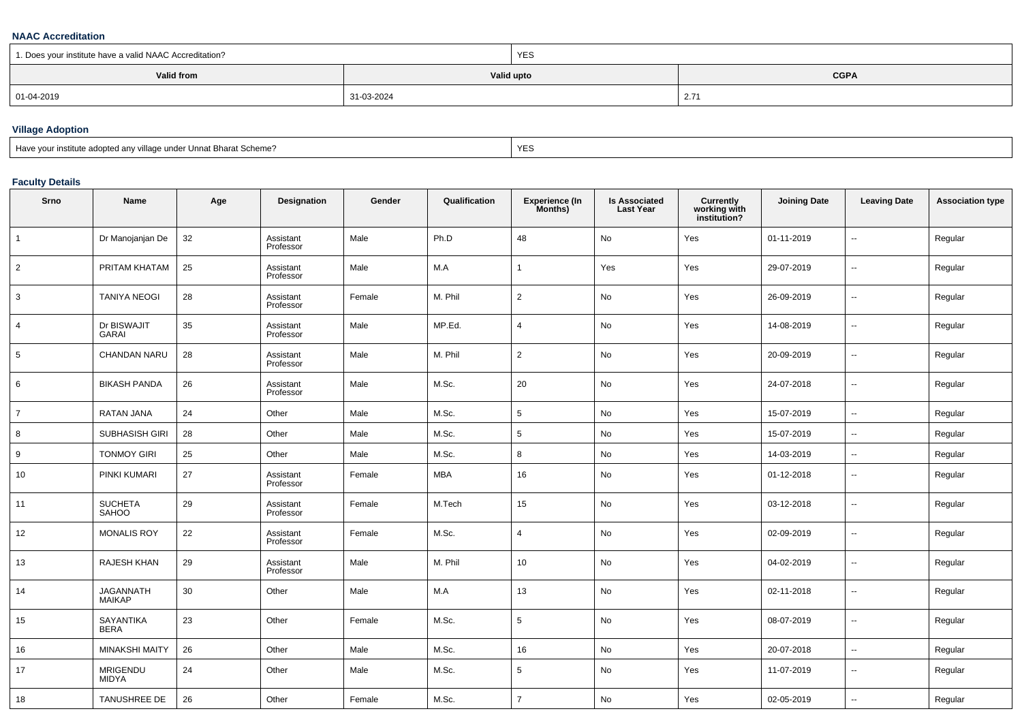#### **NAAC Accreditation**

| 1. Does your institute have a valid NAAC Accreditation? |            | <b>YES</b> |             |  |  |
|---------------------------------------------------------|------------|------------|-------------|--|--|
| Valid from                                              |            | Valid upto | <b>CGPA</b> |  |  |
| 01-04-2019                                              | 31-03-2024 |            | 2.7'        |  |  |

## **Village Adoption**

| Have vour institute adopted any village under Unnat Bharat Scheme? | YES |
|--------------------------------------------------------------------|-----|
|--------------------------------------------------------------------|-----|

## **Faculty Details**

| Srno           | Name                              | Age | Designation            | Gender | Qualification | <b>Experience (In</b><br>Months) | <b>Is Associated</b><br><b>Last Year</b> | Currently<br>working with<br>institution? | <b>Joining Date</b> | <b>Leaving Date</b>      | <b>Association type</b> |
|----------------|-----------------------------------|-----|------------------------|--------|---------------|----------------------------------|------------------------------------------|-------------------------------------------|---------------------|--------------------------|-------------------------|
| $\mathbf{1}$   | Dr Manojanjan De                  | 32  | Assistant<br>Professor | Male   | Ph.D          | 48                               | No                                       | Yes                                       | 01-11-2019          | $\overline{a}$           | Regular                 |
| 2              | PRITAM KHATAM                     | 25  | Assistant<br>Professor | Male   | M.A           | -1                               | Yes                                      | Yes                                       | 29-07-2019          | $\sim$                   | Regular                 |
| 3              | <b>TANIYA NEOGI</b>               | 28  | Assistant<br>Professor | Female | M. Phil       | $\overline{2}$                   | No                                       | Yes                                       | 26-09-2019          | $\sim$                   | Regular                 |
| 4              | Dr BISWAJIT<br><b>GARAI</b>       | 35  | Assistant<br>Professor | Male   | MP.Ed.        | 4                                | No                                       | Yes                                       | 14-08-2019          | $\overline{\phantom{a}}$ | Regular                 |
| 5              | CHANDAN NARU                      | 28  | Assistant<br>Professor | Male   | M. Phil       | $\overline{2}$                   | No                                       | Yes                                       | 20-09-2019          | $\overline{\phantom{a}}$ | Regular                 |
| 6              | <b>BIKASH PANDA</b>               | 26  | Assistant<br>Professor | Male   | M.Sc.         | 20                               | No                                       | Yes                                       | 24-07-2018          | $\sim$                   | Regular                 |
| $\overline{7}$ | RATAN JANA                        | 24  | Other                  | Male   | M.Sc.         | $5\phantom{.0}$                  | No                                       | Yes                                       | 15-07-2019          | $\sim$                   | Regular                 |
| 8              | <b>SUBHASISH GIRI</b>             | 28  | Other                  | Male   | M.Sc.         | 5                                | No                                       | Yes                                       | 15-07-2019          | $\overline{\phantom{a}}$ | Regular                 |
| 9              | <b>TONMOY GIRI</b>                | 25  | Other                  | Male   | M.Sc.         | 8                                | No                                       | Yes                                       | 14-03-2019          | $\overline{\phantom{a}}$ | Regular                 |
| 10             | PINKI KUMARI                      | 27  | Assistant<br>Professor | Female | MBA           | 16                               | No                                       | Yes                                       | 01-12-2018          | $\overline{\phantom{a}}$ | Regular                 |
| 11             | <b>SUCHETA</b><br>SAHOO           | 29  | Assistant<br>Professor | Female | M.Tech        | 15                               | No                                       | Yes                                       | 03-12-2018          | $\sim$                   | Regular                 |
| 12             | <b>MONALIS ROY</b>                | 22  | Assistant<br>Professor | Female | M.Sc.         | $\overline{4}$                   | No                                       | Yes                                       | 02-09-2019          | $\overline{\phantom{a}}$ | Regular                 |
| 13             | RAJESH KHAN                       | 29  | Assistant<br>Professor | Male   | M. Phil       | 10                               | No                                       | Yes                                       | 04-02-2019          | $\overline{\phantom{a}}$ | Regular                 |
| 14             | <b>JAGANNATH</b><br><b>MAIKAP</b> | 30  | Other                  | Male   | M.A           | 13                               | No                                       | Yes                                       | 02-11-2018          | $\sim$                   | Regular                 |
| 15             | SAYANTIKA<br><b>BERA</b>          | 23  | Other                  | Female | M.Sc.         | 5                                | No                                       | Yes                                       | 08-07-2019          | $\overline{\phantom{a}}$ | Regular                 |
| 16             | <b>MINAKSHI MAITY</b>             | 26  | Other                  | Male   | M.Sc.         | 16                               | No                                       | Yes                                       | 20-07-2018          | $\sim$                   | Regular                 |
| 17             | <b>MRIGENDU</b><br><b>MIDYA</b>   | 24  | Other                  | Male   | M.Sc.         | 5                                | No                                       | Yes                                       | 11-07-2019          | $\sim$                   | Regular                 |
| 18             | TANUSHREE DE                      | 26  | Other                  | Female | M.Sc.         | $\overline{7}$                   | No                                       | Yes                                       | 02-05-2019          | $\sim$                   | Regular                 |